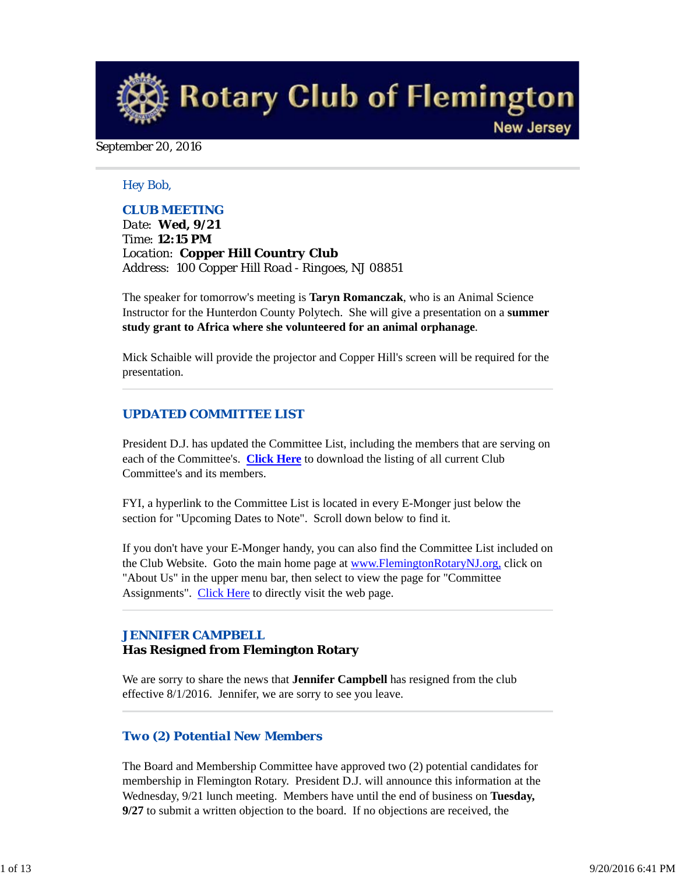**Rotary Club of Flemington New Jersey** 

### September 20, 2016

### *Hey Bob,*

### *CLUB MEETING*

*Date: Wed, 9/21 Time: 12:15 PM Location: Copper Hill Country Club Address: 100 Copper Hill Road - Ringoes, NJ 08851*

The speaker for tomorrow's meeting is **Taryn Romanczak**, who is an Animal Science Instructor for the Hunterdon County Polytech. She will give a presentation on a **summer study grant to Africa where she volunteered for an animal orphanage**.

Mick Schaible will provide the projector and Copper Hill's screen will be required for the presentation.

### *UPDATED COMMITTEE LIST*

President D.J. has updated the Committee List, including the members that are serving on each of the Committee's. **Click Here** to download the listing of all current Club Committee's and its members.

FYI, a hyperlink to the Committee List is located in every E-Monger just below the section for "Upcoming Dates to Note". Scroll down below to find it.

If you don't have your E-Monger handy, you can also find the Committee List included on the Club Website. Goto the main home page at www.FlemingtonRotaryNJ.org, click on "About Us" in the upper menu bar, then select to view the page for "Committee Assignments". Click Here to directly visit the web page.

# *JENNIFER CAMPBELL*

## **Has Resigned from Flemington Rotary**

We are sorry to share the news that **Jennifer Campbell** has resigned from the club effective 8/1/2016. Jennifer, we are sorry to see you leave.

### *Two (2) Potential New Members*

The Board and Membership Committee have approved two (2) potential candidates for membership in Flemington Rotary. President D.J. will announce this information at the Wednesday, 9/21 lunch meeting. Members have until the end of business on **Tuesday, 9/27** to submit a written objection to the board. If no objections are received, the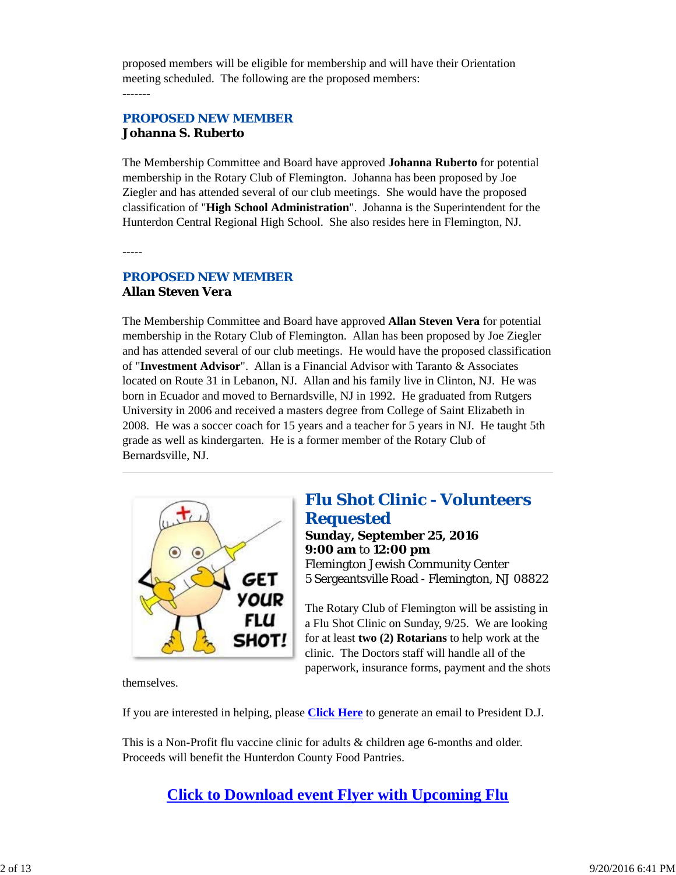proposed members will be eligible for membership and will have their Orientation meeting scheduled. The following are the proposed members: -------

# *PROPOSED NEW MEMBER* **Johanna S. Ruberto**

The Membership Committee and Board have approved **Johanna Ruberto** for potential membership in the Rotary Club of Flemington. Johanna has been proposed by Joe Ziegler and has attended several of our club meetings. She would have the proposed classification of "**High School Administration**". Johanna is the Superintendent for the Hunterdon Central Regional High School. She also resides here in Flemington, NJ.

-----

# *PROPOSED NEW MEMBER* **Allan Steven Vera**

The Membership Committee and Board have approved **Allan Steven Vera** for potential membership in the Rotary Club of Flemington. Allan has been proposed by Joe Ziegler and has attended several of our club meetings. He would have the proposed classification of "**Investment Advisor**". Allan is a Financial Advisor with Taranto & Associates located on Route 31 in Lebanon, NJ. Allan and his family live in Clinton, NJ. He was born in Ecuador and moved to Bernardsville, NJ in 1992. He graduated from Rutgers University in 2006 and received a masters degree from College of Saint Elizabeth in 2008. He was a soccer coach for 15 years and a teacher for 5 years in NJ. He taught 5th grade as well as kindergarten. He is a former member of the Rotary Club of Bernardsville, NJ.



# *Flu Shot Clinic - Volunteers Requested*

**Sunday, September 25, 2016 9:00 am** to **12:00 pm** Flemington Jewish Community Center 5 Sergeantsville Road - Flemington, NJ 08822

The Rotary Club of Flemington will be assisting in a Flu Shot Clinic on Sunday, 9/25. We are looking for at least **two (2) Rotarians** to help work at the clinic. The Doctors staff will handle all of the paperwork, insurance forms, payment and the shots

themselves.

If you are interested in helping, please **Click Here** to generate an email to President D.J.

This is a Non-Profit flu vaccine clinic for adults & children age 6-months and older. Proceeds will benefit the Hunterdon County Food Pantries.

**Click to Download event Flyer with Upcoming Flu**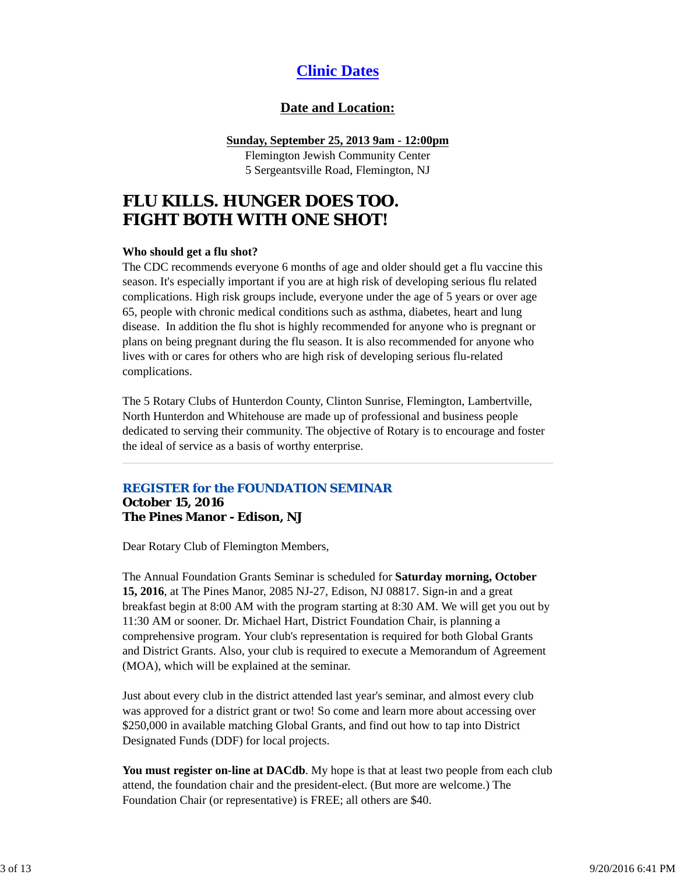# **Clinic Dates**

# **Date and Location:**

### **Sunday, September 25, 2013 9am - 12:00pm**

Flemington Jewish Community Center 5 Sergeantsville Road, Flemington, NJ

# **FLU KILLS. HUNGER DOES TOO. FIGHT BOTH WITH ONE SHOT!**

### **Who should get a flu shot?**

The CDC recommends everyone 6 months of age and older should get a flu vaccine this season. It's especially important if you are at high risk of developing serious flu related complications. High risk groups include, everyone under the age of 5 years or over age 65, people with chronic medical conditions such as asthma, diabetes, heart and lung disease. In addition the flu shot is highly recommended for anyone who is pregnant or plans on being pregnant during the flu season. It is also recommended for anyone who lives with or cares for others who are high risk of developing serious flu-related complications.

The 5 Rotary Clubs of Hunterdon County, Clinton Sunrise, Flemington, Lambertville, North Hunterdon and Whitehouse are made up of professional and business people dedicated to serving their community. The objective of Rotary is to encourage and foster the ideal of service as a basis of worthy enterprise.

# *REGISTER for the FOUNDATION SEMINAR*

#### **October 15, 2016 The Pines Manor - Edison, NJ**

Dear Rotary Club of Flemington Members,

The Annual Foundation Grants Seminar is scheduled for **Saturday morning, October 15, 2016**, at The Pines Manor, 2085 NJ-27, Edison, NJ 08817. Sign-in and a great breakfast begin at 8:00 AM with the program starting at 8:30 AM. We will get you out by 11:30 AM or sooner. Dr. Michael Hart, District Foundation Chair, is planning a comprehensive program. Your club's representation is required for both Global Grants and District Grants. Also, your club is required to execute a Memorandum of Agreement (MOA), which will be explained at the seminar.

Just about every club in the district attended last year's seminar, and almost every club was approved for a district grant or two! So come and learn more about accessing over \$250,000 in available matching Global Grants, and find out how to tap into District Designated Funds (DDF) for local projects.

**You must register on-line at DACdb**. My hope is that at least two people from each club attend, the foundation chair and the president-elect. (But more are welcome.) The Foundation Chair (or representative) is FREE; all others are \$40.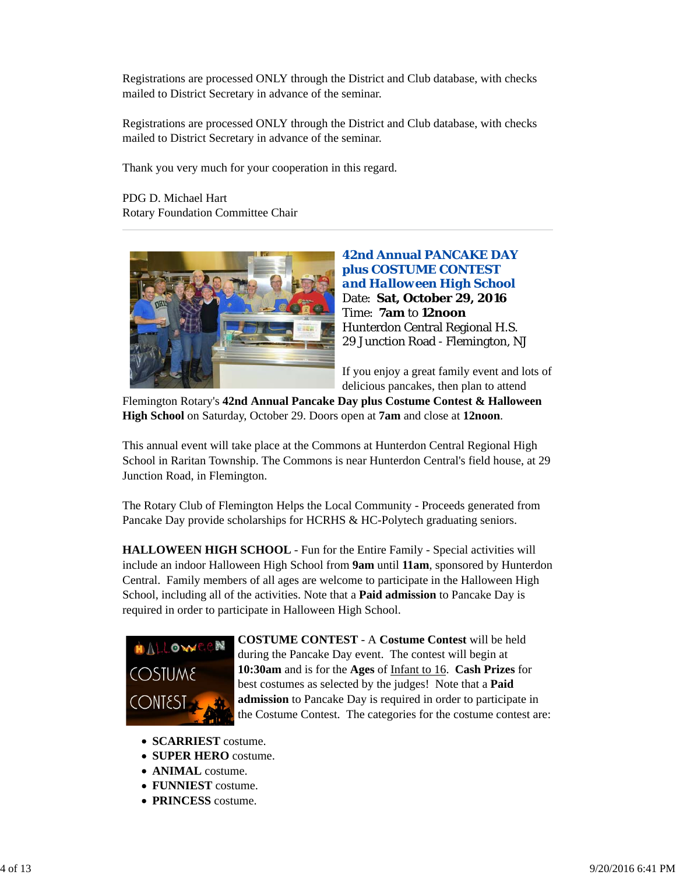Registrations are processed ONLY through the District and Club database, with checks mailed to District Secretary in advance of the seminar.

Registrations are processed ONLY through the District and Club database, with checks mailed to District Secretary in advance of the seminar.

Thank you very much for your cooperation in this regard.

PDG D. Michael Hart Rotary Foundation Committee Chair



**42nd Annual PANCAKE DAY plus COSTUME CONTEST**  *and Halloween High School* Date: **Sat, October 29, 2016** Time: **7am** to **12noon** Hunterdon Central Regional H.S. 29 Junction Road - Flemington, NJ

If you enjoy a great family event and lots of delicious pancakes, then plan to attend

Flemington Rotary's **42nd Annual Pancake Day plus Costume Contest & Halloween High School** on Saturday, October 29. Doors open at **7am** and close at **12noon**.

This annual event will take place at the Commons at Hunterdon Central Regional High School in Raritan Township. The Commons is near Hunterdon Central's field house, at 29 Junction Road, in Flemington.

The Rotary Club of Flemington Helps the Local Community - Proceeds generated from Pancake Day provide scholarships for HCRHS & HC-Polytech graduating seniors.

**HALLOWEEN HIGH SCHOOL** - Fun for the Entire Family - Special activities will include an indoor Halloween High School from **9am** until **11am**, sponsored by Hunterdon Central. Family members of all ages are welcome to participate in the Halloween High School, including all of the activities. Note that a **Paid admission** to Pancake Day is required in order to participate in Halloween High School.



**COSTUME CONTEST** - A **Costume Contest** will be held during the Pancake Day event. The contest will begin at **10:30am** and is for the **Ages** of Infant to 16. **Cash Prizes** for best costumes as selected by the judges! Note that a **Paid admission** to Pancake Day is required in order to participate in the Costume Contest. The categories for the costume contest are:

- **SCARRIEST** costume.
- **SUPER HERO** costume.
- **ANIMAL** costume.
- **FUNNIEST** costume.
- **PRINCESS** costume.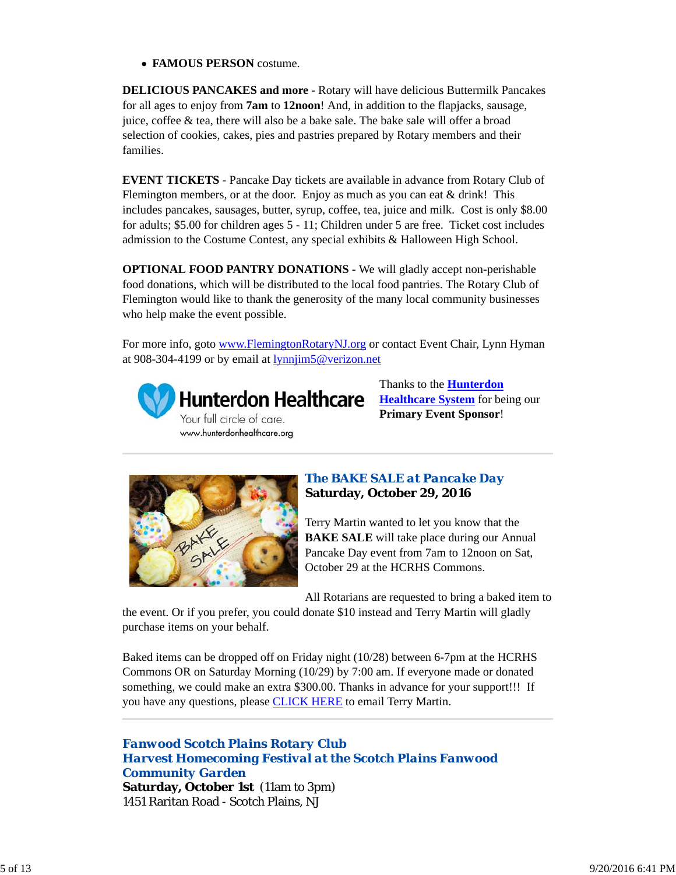**FAMOUS PERSON** costume.

**DELICIOUS PANCAKES and more** - Rotary will have delicious Buttermilk Pancakes for all ages to enjoy from **7am** to **12noon**! And, in addition to the flapjacks, sausage, juice, coffee & tea, there will also be a bake sale. The bake sale will offer a broad selection of cookies, cakes, pies and pastries prepared by Rotary members and their families.

**EVENT TICKETS** - Pancake Day tickets are available in advance from Rotary Club of Flemington members, or at the door. Enjoy as much as you can eat  $\&$  drink! This includes pancakes, sausages, butter, syrup, coffee, tea, juice and milk. Cost is only \$8.00 for adults; \$5.00 for children ages 5 - 11; Children under 5 are free. Ticket cost includes admission to the Costume Contest, any special exhibits & Halloween High School.

**OPTIONAL FOOD PANTRY DONATIONS** - We will gladly accept non-perishable food donations, which will be distributed to the local food pantries. The Rotary Club of Flemington would like to thank the generosity of the many local community businesses who help make the event possible.

For more info, goto www.FlemingtonRotaryNJ.org or contact Event Chair, Lynn Hyman at 908-304-4199 or by email at lynnjim5@verizon.net



**Hunterdon Healthcare** Your full circle of care. www.hunterdonhealthcare.org

Thanks to the **Hunterdon Healthcare System** for being our **Primary Event Sponsor**!



# *The BAKE SALE at Pancake Day* **Saturday, October 29, 2016**

Terry Martin wanted to let you know that the **BAKE SALE** will take place during our Annual Pancake Day event from 7am to 12noon on Sat, October 29 at the HCRHS Commons.

All Rotarians are requested to bring a baked item to

the event. Or if you prefer, you could donate \$10 instead and Terry Martin will gladly purchase items on your behalf.

Baked items can be dropped off on Friday night (10/28) between 6-7pm at the HCRHS Commons OR on Saturday Morning (10/29) by 7:00 am. If everyone made or donated something, we could make an extra \$300.00. Thanks in advance for your support!!! If you have any questions, please CLICK HERE to email Terry Martin.

*Fanwood Scotch Plains Rotary Club Harvest Homecoming Festival at the Scotch Plains Fanwood Community Garden* **Saturday, October 1st** (11am to 3pm) 1451 Raritan Road - Scotch Plains, NJ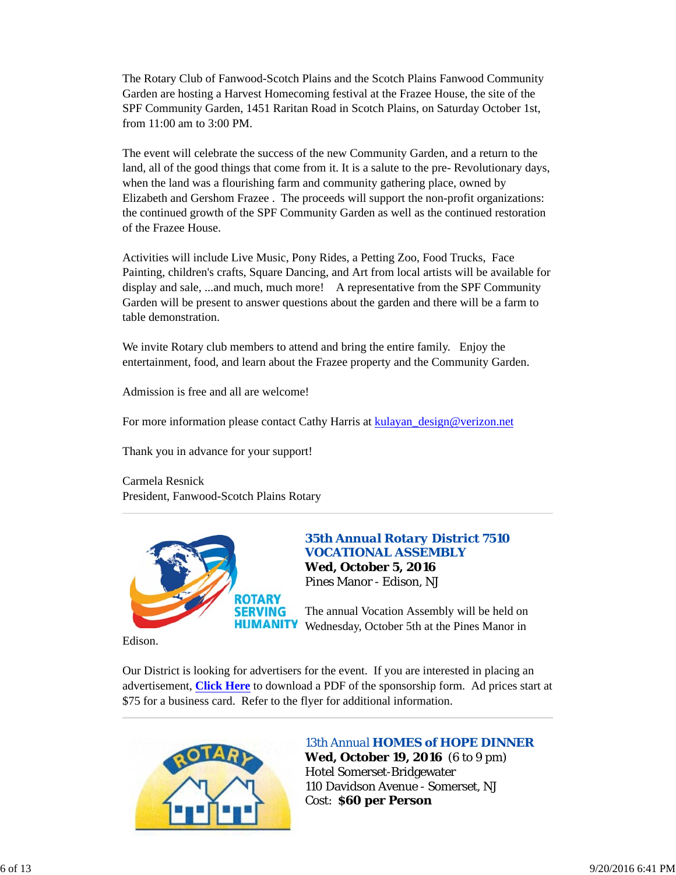The Rotary Club of Fanwood-Scotch Plains and the Scotch Plains Fanwood Community Garden are hosting a Harvest Homecoming festival at the Frazee House, the site of the SPF Community Garden, 1451 Raritan Road in Scotch Plains, on Saturday October 1st, from 11:00 am to 3:00 PM.

The event will celebrate the success of the new Community Garden, and a return to the land, all of the good things that come from it. It is a salute to the pre- Revolutionary days, when the land was a flourishing farm and community gathering place, owned by Elizabeth and Gershom Frazee . The proceeds will support the non-profit organizations: the continued growth of the SPF Community Garden as well as the continued restoration of the Frazee House.

Activities will include Live Music, Pony Rides, a Petting Zoo, Food Trucks, Face Painting, children's crafts, Square Dancing, and Art from local artists will be available for display and sale, ...and much, much more! A representative from the SPF Community Garden will be present to answer questions about the garden and there will be a farm to table demonstration.

We invite Rotary club members to attend and bring the entire family. Enjoy the entertainment, food, and learn about the Frazee property and the Community Garden.

Admission is free and all are welcome!

For more information please contact Cathy Harris at kulayan\_design@verizon.net

Thank you in advance for your support!

Carmela Resnick President, Fanwood-Scotch Plains Rotary



## *35th Annual Rotary District 7510 VOCATIONAL ASSEMBLY*

**Wed, October 5, 2016** Pines Manor - Edison, NJ

The annual Vocation Assembly will be held on Wednesday, October 5th at the Pines Manor in

Edison.

Our District is looking for advertisers for the event. If you are interested in placing an advertisement, **Click Here** to download a PDF of the sponsorship form. Ad prices start at \$75 for a business card. Refer to the flyer for additional information.



## *13th Annual HOMES of HOPE DINNER*

**Wed, October 19, 2016** (6 to 9 pm) Hotel Somerset-Bridgewater 110 Davidson Avenue - Somerset, NJ Cost: **\$60 per Person**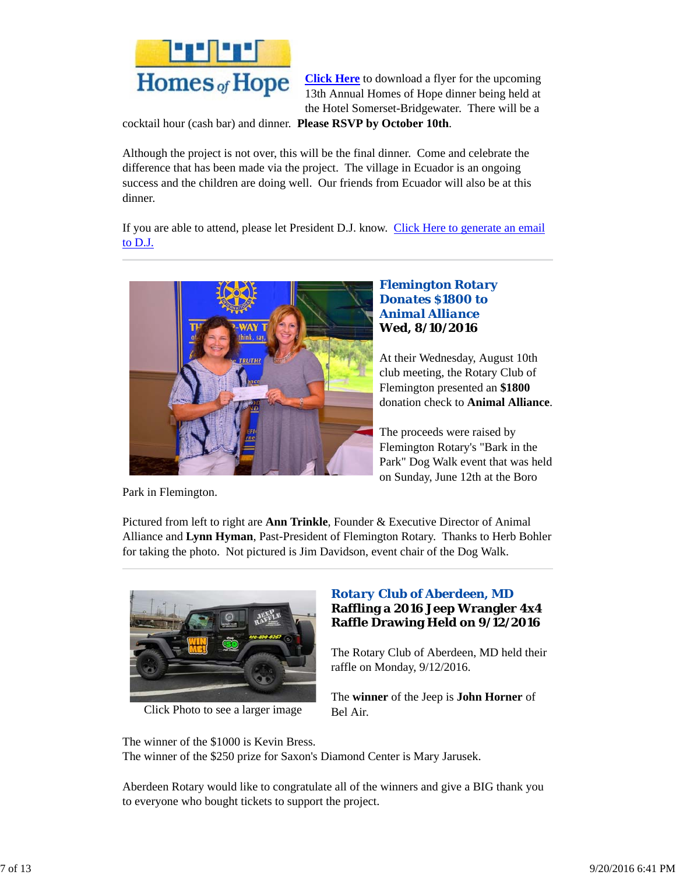

**Click Here** to download a flyer for the upcoming 13th Annual Homes of Hope dinner being held at the Hotel Somerset-Bridgewater. There will be a

cocktail hour (cash bar) and dinner. **Please RSVP by October 10th**.

Although the project is not over, this will be the final dinner. Come and celebrate the difference that has been made via the project. The village in Ecuador is an ongoing success and the children are doing well. Our friends from Ecuador will also be at this dinner.

If you are able to attend, please let President D.J. know. Click Here to generate an email to D.J.



## *Flemington Rotary Donates \$1800 to Animal Alliance* **Wed, 8/10/2016**

At their Wednesday, August 10th club meeting, the Rotary Club of Flemington presented an **\$1800** donation check to **Animal Alliance**.

The proceeds were raised by Flemington Rotary's "Bark in the Park" Dog Walk event that was held on Sunday, June 12th at the Boro

Park in Flemington.

Pictured from left to right are **Ann Trinkle**, Founder & Executive Director of Animal Alliance and **Lynn Hyman**, Past-President of Flemington Rotary. Thanks to Herb Bohler for taking the photo. Not pictured is Jim Davidson, event chair of the Dog Walk.



Click Photo to see a larger image

# *Rotary Club of Aberdeen, MD* **Raffling a 2016 Jeep Wrangler 4x4 Raffle Drawing Held on 9/12/2016**

The Rotary Club of Aberdeen, MD held their raffle on Monday, 9/12/2016.

The **winner** of the Jeep is **John Horner** of Bel Air.

The winner of the \$1000 is Kevin Bress. The winner of the \$250 prize for Saxon's Diamond Center is Mary Jarusek.

Aberdeen Rotary would like to congratulate all of the winners and give a BIG thank you to everyone who bought tickets to support the project.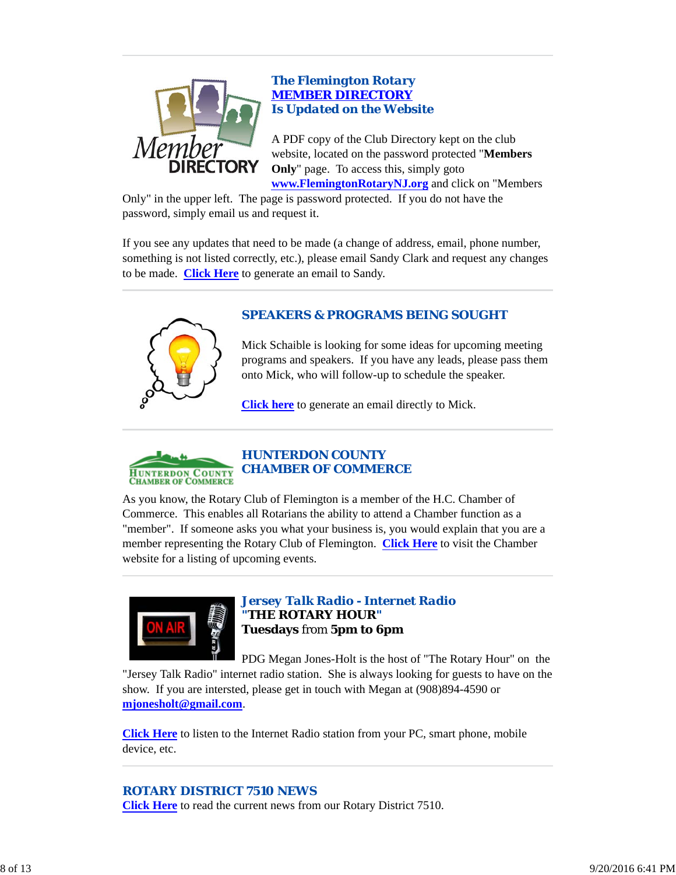

## *The Flemington Rotary MEMBER DIRECTORY Is Updated on the Website*

A PDF copy of the Club Directory kept on the club website, located on the password protected "**Members Only**" page. To access this, simply goto **www.FlemingtonRotaryNJ.org** and click on "Members

Only" in the upper left. The page is password protected. If you do not have the password, simply email us and request it.

If you see any updates that need to be made (a change of address, email, phone number, something is not listed correctly, etc.), please email Sandy Clark and request any changes to be made. **Click Here** to generate an email to Sandy.

# *SPEAKERS & PROGRAMS BEING SOUGHT*



Mick Schaible is looking for some ideas for upcoming meeting programs and speakers. If you have any leads, please pass them onto Mick, who will follow-up to schedule the speaker.

**Click here** to generate an email directly to Mick.



As you know, the Rotary Club of Flemington is a member of the H.C. Chamber of Commerce. This enables all Rotarians the ability to attend a Chamber function as a "member". If someone asks you what your business is, you would explain that you are a member representing the Rotary Club of Flemington. **Click Here** to visit the Chamber website for a listing of upcoming events.



*Jersey Talk Radio - Internet Radio "THE ROTARY HOUR"* **Tuesdays** from **5pm to 6pm**

PDG Megan Jones-Holt is the host of "The Rotary Hour" on the "Jersey Talk Radio" internet radio station. She is always looking for guests to have on the show. If you are intersted, please get in touch with Megan at (908)894-4590 or **mjonesholt@gmail.com**.

**Click Here** to listen to the Internet Radio station from your PC, smart phone, mobile device, etc.

## *ROTARY DISTRICT 7510 NEWS*

**Click Here** to read the current news from our Rotary District 7510.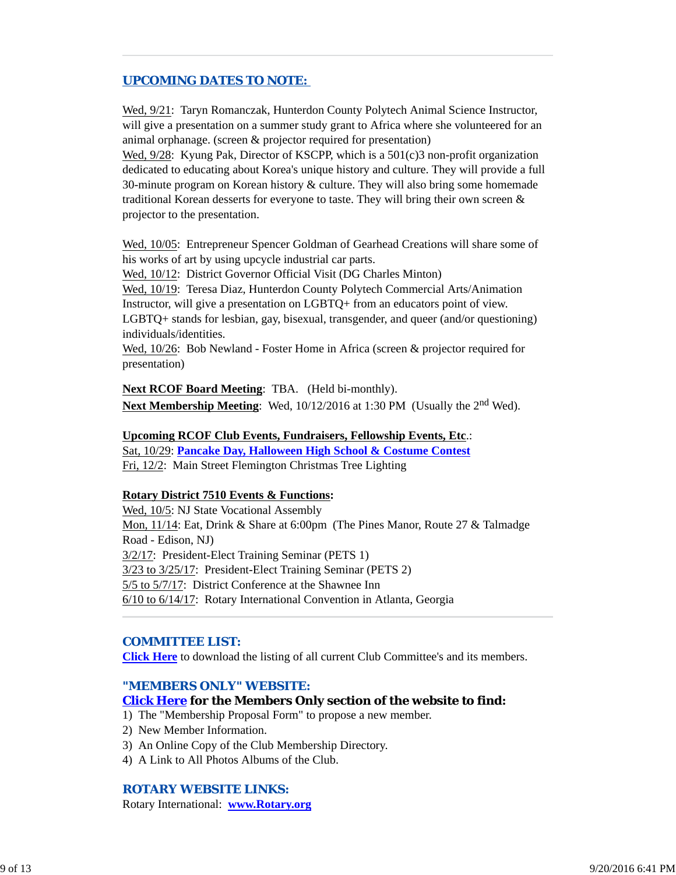# *UPCOMING DATES TO NOTE:*

Wed,  $9/21$ : Taryn Romanczak, Hunterdon County Polytech Animal Science Instructor, will give a presentation on a summer study grant to Africa where she volunteered for an animal orphanage. (screen & projector required for presentation)

Wed,  $9/28$ : Kyung Pak, Director of KSCPP, which is a 501(c)3 non-profit organization dedicated to educating about Korea's unique history and culture. They will provide a full 30-minute program on Korean history & culture. They will also bring some homemade traditional Korean desserts for everyone to taste. They will bring their own screen & projector to the presentation.

Wed, 10/05: Entrepreneur Spencer Goldman of Gearhead Creations will share some of his works of art by using upcycle industrial car parts.

Wed, 10/12: District Governor Official Visit (DG Charles Minton)

Wed, 10/19: Teresa Diaz, Hunterdon County Polytech Commercial Arts/Animation Instructor, will give a presentation on LGBTQ+ from an educators point of view.

LGBTQ+ stands for lesbian, gay, bisexual, transgender, and queer (and/or questioning) individuals/identities.

Wed,  $10/26$ : Bob Newland - Foster Home in Africa (screen & projector required for presentation)

**Next RCOF Board Meeting**: TBA. (Held bi-monthly). **Next Membership Meeting:** Wed, 10/12/2016 at 1:30 PM (Usually the 2<sup>nd</sup> Wed).

# **Upcoming RCOF Club Events, Fundraisers, Fellowship Events, Etc**.:

Sat, 10/29: **Pancake Day, Halloween High School & Costume Contest** Fri, 12/2: Main Street Flemington Christmas Tree Lighting

### **Rotary District 7510 Events & Functions:**

Wed, 10/5: NJ State Vocational Assembly Mon, 11/14: Eat, Drink & Share at 6:00pm (The Pines Manor, Route 27 & Talmadge Road - Edison, NJ) 3/2/17: President-Elect Training Seminar (PETS 1) 3/23 to 3/25/17: President-Elect Training Seminar (PETS 2) 5/5 to 5/7/17: District Conference at the Shawnee Inn 6/10 to 6/14/17: Rotary International Convention in Atlanta, Georgia

### *COMMITTEE LIST:*

**Click Here** to download the listing of all current Club Committee's and its members.

### *"MEMBERS ONLY" WEBSITE:*

### **Click Here for the Members Only section of the website to find:**

- 1) The "Membership Proposal Form" to propose a new member.
- 2) New Member Information.
- 3) An Online Copy of the Club Membership Directory.
- 4) A Link to All Photos Albums of the Club.

### *ROTARY WEBSITE LINKS:*

Rotary International: **www.Rotary.org**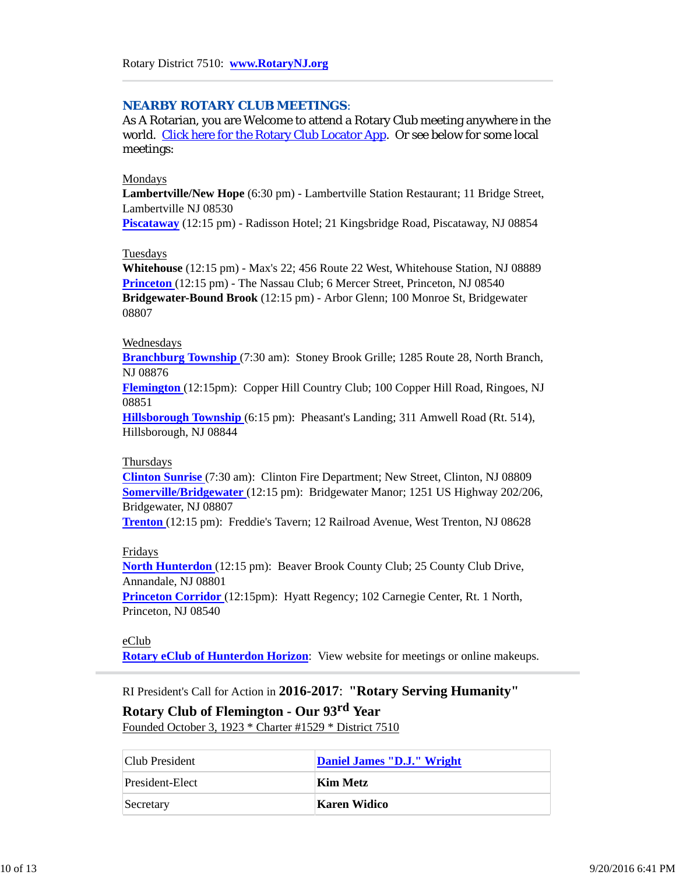### *NEARBY ROTARY CLUB MEETINGS:*

As A Rotarian, you are Welcome to attend a Rotary Club meeting anywhere in the world. Click here for the Rotary Club Locator App. Or see below for some local meetings:

#### Mondays

**Lambertville/New Hope** (6:30 pm) - Lambertville Station Restaurant; 11 Bridge Street, Lambertville NJ 08530

**Piscataway** (12:15 pm) - Radisson Hotel; 21 Kingsbridge Road, Piscataway, NJ 08854

#### Tuesdays

**Whitehouse** (12:15 pm) - Max's 22; 456 Route 22 West, Whitehouse Station, NJ 08889 **Princeton** (12:15 pm) - The Nassau Club; 6 Mercer Street, Princeton, NJ 08540 **Bridgewater-Bound Brook** (12:15 pm) - Arbor Glenn; 100 Monroe St, Bridgewater 08807

#### Wednesdays

**Branchburg Township** (7:30 am): Stoney Brook Grille; 1285 Route 28, North Branch, NJ 08876

**Flemington** (12:15pm): Copper Hill Country Club; 100 Copper Hill Road, Ringoes, NJ 08851

**Hillsborough Township** (6:15 pm): Pheasant's Landing; 311 Amwell Road (Rt. 514), Hillsborough, NJ 08844

#### Thursdays

**Clinton Sunrise** (7:30 am): Clinton Fire Department; New Street, Clinton, NJ 08809 **Somerville/Bridgewater** (12:15 pm): Bridgewater Manor; 1251 US Highway 202/206, Bridgewater, NJ 08807

**Trenton** (12:15 pm): Freddie's Tavern; 12 Railroad Avenue, West Trenton, NJ 08628

#### Fridays

**North Hunterdon** (12:15 pm): Beaver Brook County Club; 25 County Club Drive, Annandale, NJ 08801

**Princeton Corridor** (12:15pm): Hyatt Regency; 102 Carnegie Center, Rt. 1 North, Princeton, NJ 08540

### eClub

**Rotary eClub of Hunterdon Horizon**: View website for meetings or online makeups.

RI President's Call for Action in **2016-2017**: **"Rotary Serving Humanity" Rotary Club of Flemington - Our 93rd Year**

Founded October 3, 1923 \* Charter #1529 \* District 7510

| Club President  | Daniel James "D.J." Wright |
|-----------------|----------------------------|
| President-Elect | Kim Metz                   |
| Secretary       | Karen Widico               |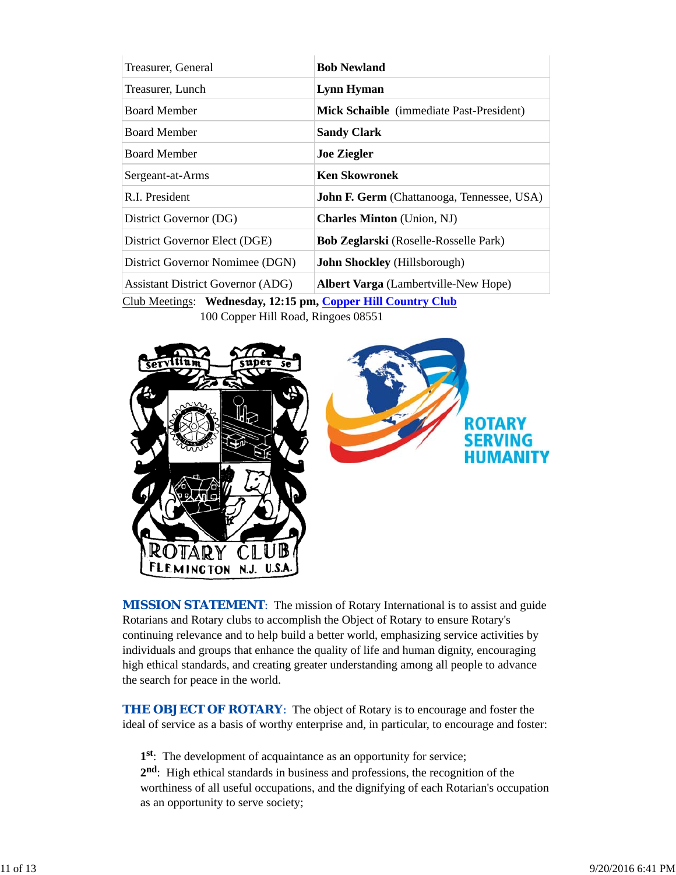| Treasurer, General                       | <b>Bob Newland</b>                                |
|------------------------------------------|---------------------------------------------------|
| Treasurer, Lunch                         | <b>Lynn Hyman</b>                                 |
| <b>Board Member</b>                      | Mick Schaible (immediate Past-President)          |
| <b>Board Member</b>                      | <b>Sandy Clark</b>                                |
| <b>Board Member</b>                      | <b>Joe Ziegler</b>                                |
| Sergeant-at-Arms                         | <b>Ken Skowronek</b>                              |
| R.I. President                           | <b>John F. Germ</b> (Chattanooga, Tennessee, USA) |
| District Governor (DG)                   | <b>Charles Minton</b> (Union, NJ)                 |
| District Governor Elect (DGE)            | <b>Bob Zeglarski</b> (Roselle-Rosselle Park)      |
| District Governor Nomimee (DGN)          | <b>John Shockley</b> (Hillsborough)               |
| <b>Assistant District Governor (ADG)</b> | <b>Albert Varga</b> (Lambertville-New Hope)       |

Club Meetings: **Wednesday, 12:15 pm, Copper Hill Country Club** 100 Copper Hill Road, Ringoes 08551



**MISSION STATEMENT:** The mission of Rotary International is to assist and guide Rotarians and Rotary clubs to accomplish the Object of Rotary to ensure Rotary's continuing relevance and to help build a better world, emphasizing service activities by individuals and groups that enhance the quality of life and human dignity, encouraging high ethical standards, and creating greater understanding among all people to advance the search for peace in the world.

**THE OBJECT OF ROTARY:** The object of Rotary is to encourage and foster the ideal of service as a basis of worthy enterprise and, in particular, to encourage and foster:

**1st**: The development of acquaintance as an opportunity for service;

**2nd**: High ethical standards in business and professions, the recognition of the worthiness of all useful occupations, and the dignifying of each Rotarian's occupation as an opportunity to serve society;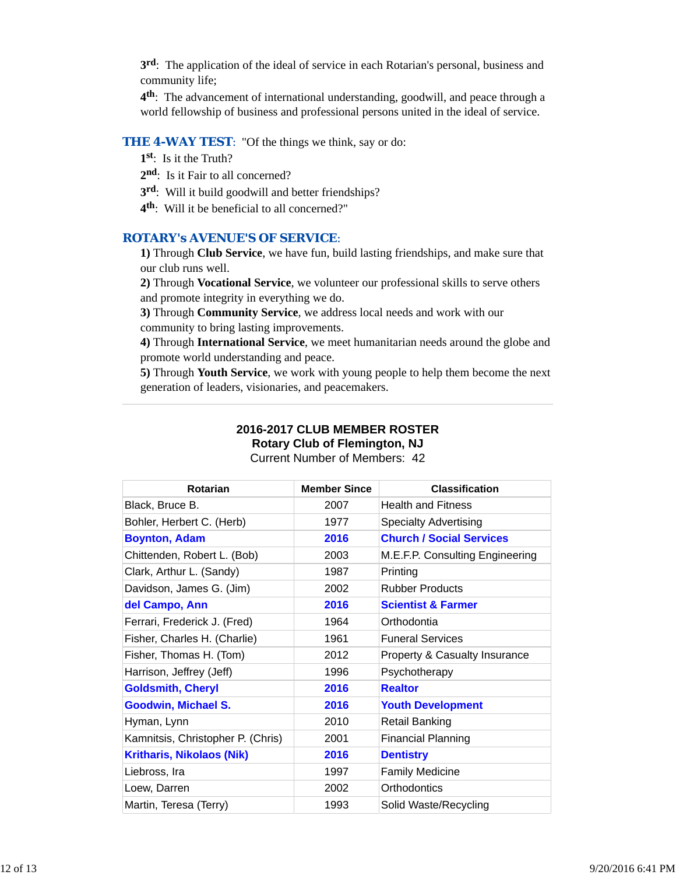**3rd**: The application of the ideal of service in each Rotarian's personal, business and community life;

**4th**: The advancement of international understanding, goodwill, and peace through a world fellowship of business and professional persons united in the ideal of service.

### **THE 4-WAY TEST:** "Of the things we think, say or do:

- **1st**: Is it the Truth?
- 2<sup>nd</sup>: Is it Fair to all concerned?
- **3rd**: Will it build goodwill and better friendships?
- **4th**: Will it be beneficial to all concerned?"

### *ROTARY's AVENUE'S OF SERVICE*:

**1)** Through **Club Service**, we have fun, build lasting friendships, and make sure that our club runs well.

**2)** Through **Vocational Service**, we volunteer our professional skills to serve others and promote integrity in everything we do.

**3)** Through **Community Service**, we address local needs and work with our community to bring lasting improvements.

**4)** Through **International Service**, we meet humanitarian needs around the globe and promote world understanding and peace.

**5)** Through **Youth Service**, we work with young people to help them become the next generation of leaders, visionaries, and peacemakers.

### **2016-2017 CLUB MEMBER ROSTER Rotary Club of Flemington, NJ**

Current Number of Members: 42

| <b>Rotarian</b>                   | <b>Member Since</b> | <b>Classification</b>           |
|-----------------------------------|---------------------|---------------------------------|
| Black, Bruce B.                   | 2007                | <b>Health and Fitness</b>       |
| Bohler, Herbert C. (Herb)         | 1977                | <b>Specialty Advertising</b>    |
| <b>Boynton, Adam</b>              | 2016                | <b>Church / Social Services</b> |
| Chittenden, Robert L. (Bob)       | 2003                | M.E.F.P. Consulting Engineering |
| Clark, Arthur L. (Sandy)          | 1987                | Printing                        |
| Davidson, James G. (Jim)          | 2002                | <b>Rubber Products</b>          |
| del Campo, Ann                    | 2016                | <b>Scientist &amp; Farmer</b>   |
| Ferrari, Frederick J. (Fred)      | 1964                | Orthodontia                     |
| Fisher, Charles H. (Charlie)      | 1961                | <b>Funeral Services</b>         |
| Fisher, Thomas H. (Tom)           | 2012                | Property & Casualty Insurance   |
| Harrison, Jeffrey (Jeff)          | 1996                | Psychotherapy                   |
| <b>Goldsmith, Cheryl</b>          | 2016                | <b>Realtor</b>                  |
| <b>Goodwin, Michael S.</b>        | 2016                | <b>Youth Development</b>        |
| Hyman, Lynn                       | 2010                | <b>Retail Banking</b>           |
| Kamnitsis, Christopher P. (Chris) | 2001                | <b>Financial Planning</b>       |
| <b>Kritharis, Nikolaos (Nik)</b>  | 2016                | <b>Dentistry</b>                |
| Liebross, Ira                     | 1997                | <b>Family Medicine</b>          |
| Loew, Darren                      | 2002                | Orthodontics                    |
| Martin, Teresa (Terry)            | 1993                | Solid Waste/Recycling           |